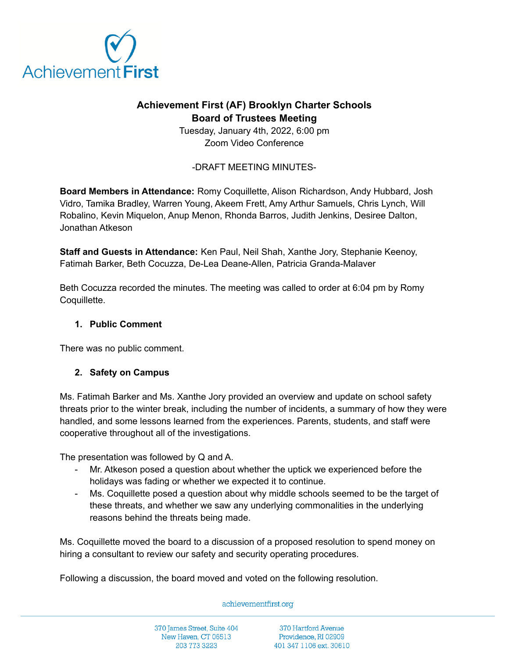

# **Achievement First (AF) Brooklyn Charter Schools Board of Trustees Meeting**

Tuesday, January 4th, 2022, 6:00 pm Zoom Video Conference

-DRAFT MEETING MINUTES-

**Board Members in Attendance:** Romy Coquillette, Alison Richardson, Andy Hubbard, Josh Vidro, Tamika Bradley, Warren Young, Akeem Frett, Amy Arthur Samuels, Chris Lynch, Will Robalino, Kevin Miquelon, Anup Menon, Rhonda Barros, Judith Jenkins, Desiree Dalton, Jonathan Atkeson

**Staff and Guests in Attendance:** Ken Paul, Neil Shah, Xanthe Jory, Stephanie Keenoy, Fatimah Barker, Beth Cocuzza, De-Lea Deane-Allen, Patricia Granda-Malaver

Beth Cocuzza recorded the minutes. The meeting was called to order at 6:04 pm by Romy Coquillette.

## **1. Public Comment**

There was no public comment.

### **2. Safety on Campus**

Ms. Fatimah Barker and Ms. Xanthe Jory provided an overview and update on school safety threats prior to the winter break, including the number of incidents, a summary of how they were handled, and some lessons learned from the experiences. Parents, students, and staff were cooperative throughout all of the investigations.

The presentation was followed by Q and A.

- Mr. Atkeson posed a question about whether the uptick we experienced before the holidays was fading or whether we expected it to continue.
- Ms. Coquillette posed a question about why middle schools seemed to be the target of these threats, and whether we saw any underlying commonalities in the underlying reasons behind the threats being made.

Ms. Coquillette moved the board to a discussion of a proposed resolution to spend money on hiring a consultant to review our safety and security operating procedures.

Following a discussion, the board moved and voted on the following resolution.

#### achievementfirst.org

370 James Street, Suite 404 New Haven, CT 06513 203 773 3223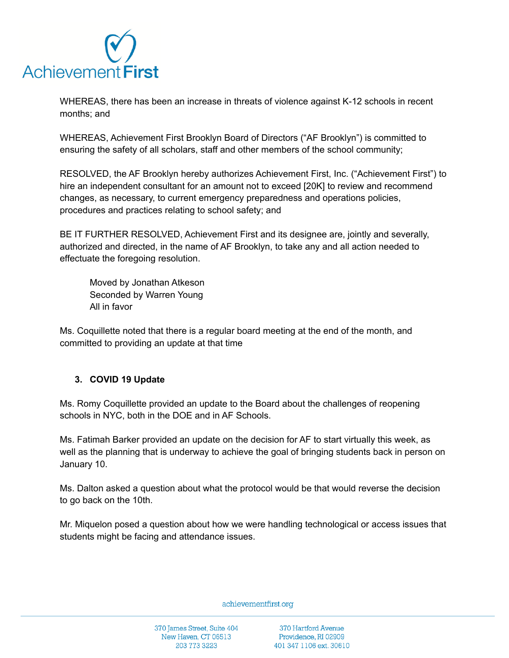

WHEREAS, there has been an increase in threats of violence against K-12 schools in recent months; and

WHEREAS, Achievement First Brooklyn Board of Directors ("AF Brooklyn") is committed to ensuring the safety of all scholars, staff and other members of the school community;

RESOLVED, the AF Brooklyn hereby authorizes Achievement First, Inc. ("Achievement First") to hire an independent consultant for an amount not to exceed [20K] to review and recommend changes, as necessary, to current emergency preparedness and operations policies, procedures and practices relating to school safety; and

BE IT FURTHER RESOLVED, Achievement First and its designee are, jointly and severally, authorized and directed, in the name of AF Brooklyn, to take any and all action needed to effectuate the foregoing resolution.

Moved by Jonathan Atkeson Seconded by Warren Young All in favor

Ms. Coquillette noted that there is a regular board meeting at the end of the month, and committed to providing an update at that time

### **3. COVID 19 Update**

Ms. Romy Coquillette provided an update to the Board about the challenges of reopening schools in NYC, both in the DOE and in AF Schools.

Ms. Fatimah Barker provided an update on the decision for AF to start virtually this week, as well as the planning that is underway to achieve the goal of bringing students back in person on January 10.

Ms. Dalton asked a question about what the protocol would be that would reverse the decision to go back on the 10th.

Mr. Miquelon posed a question about how we were handling technological or access issues that students might be facing and attendance issues.

achievementfirst.org

370 James Street, Suite 404 New Haven, CT 06513 203 773 3223

370 Hartford Avenue Providence, RI 02909 401 347 1106 ext. 30610